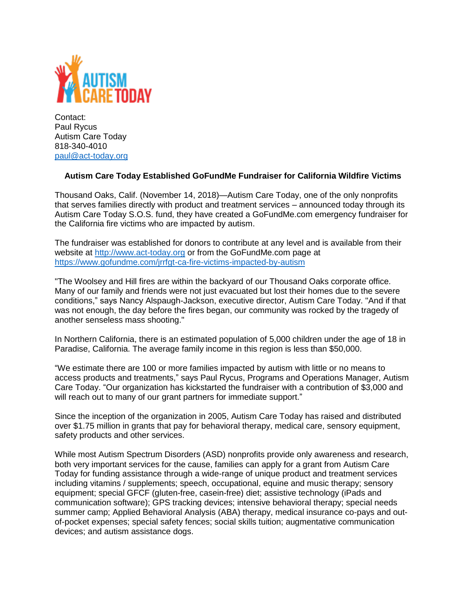

Contact: Paul Rycus Autism Care Today 818-340-4010 [paul@act-today.org](mailto:paul@act-today.org)

## **Autism Care Today Established GoFundMe Fundraiser for California Wildfire Victims**

Thousand Oaks, Calif. (November 14, 2018)—Autism Care Today, one of the only nonprofits that serves families directly with product and treatment services – announced today through its Autism Care Today S.O.S. fund, they have created a GoFundMe.com emergency fundraiser for the California fire victims who are impacted by autism.

The fundraiser was established for donors to contribute at any level and is available from their website at [http://www.act-today.org](http://www.act-today.org/) or from the GoFundMe.com page at <https://www.gofundme.com/jrrfgt-ca-fire-victims-impacted-by-autism>

"The Woolsey and Hill fires are within the backyard of our Thousand Oaks corporate office. Many of our family and friends were not just evacuated but lost their homes due to the severe conditions," says Nancy Alspaugh-Jackson, executive director, Autism Care Today. "And if that was not enough, the day before the fires began, our community was rocked by the tragedy of another senseless mass shooting."

In Northern California, there is an estimated population of 5,000 children under the age of 18 in Paradise, California. The average family income in this region is less than \$50,000.

"We estimate there are 100 or more families impacted by autism with little or no means to access products and treatments," says Paul Rycus, Programs and Operations Manager, Autism Care Today. "Our organization has kickstarted the fundraiser with a contribution of \$3,000 and will reach out to many of our grant partners for immediate support."

Since the inception of the organization in 2005, Autism Care Today has raised and distributed over \$1.75 million in grants that pay for behavioral therapy, medical care, sensory equipment, safety products and other services.

While most Autism Spectrum Disorders (ASD) nonprofits provide only awareness and research, both very important services for the cause, families can apply for a grant from Autism Care Today for funding assistance through a wide-range of unique product and treatment services including vitamins / supplements; speech, occupational, equine and music therapy; sensory equipment; special GFCF (gluten-free, casein-free) diet; assistive technology (iPads and communication software); GPS tracking devices; intensive behavioral therapy; special needs summer camp; Applied Behavioral Analysis (ABA) therapy, medical insurance co-pays and outof-pocket expenses; special safety fences; social skills tuition; augmentative communication devices; and autism assistance dogs.